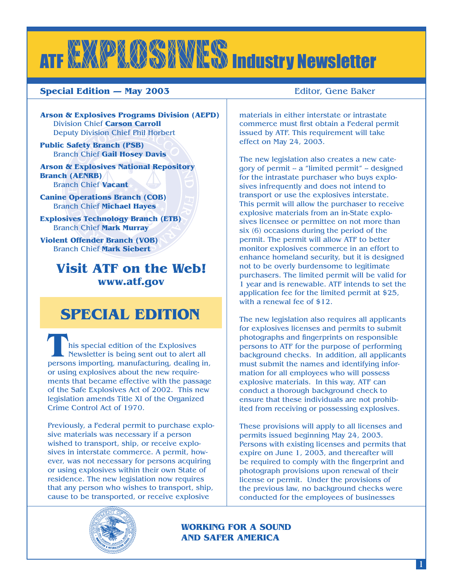# ATF XXXPXXXXXXXXXXIIndustry Newsletter

#### **Special Edition — May 2003 Editor, Gene Baker**

**Arson & Explosives Programs Division (AEPD)** Division Chief **Carson Carroll** Deputy Division Chief Phil Horbert

**Public Safety Branch (PSB)** Branch Chief **Gail Hosey Davis**

**Arson & Explosives National Repository Branch (AENRB)** Branch Chief **Vacant**

**Canine Operations Branch (COB)** Branch Chief **Michael Hayes**

**Explosives Technology Branch (ETB)** Branch Chief **Mark Murray**

**Violent Offender Branch (VOB)** Branch Chief **Mark Siebert** 

### **Visit ATF on the Web! www.atf.gov**

## **SPECIAL EDITION**

**This special edition of the Explosives Newsletter is being sent out to alert all persons importing, manufacturing, dealing in,** Newsletter is being sent out to alert all or using explosives about the new requirements that became effective with the passage of the Safe Explosives Act of 2002. This new legislation amends Title XI of the Organized Crime Control Act of 1970.

Previously, a Federal permit to purchase explosive materials was necessary if a person wished to transport, ship, or receive explosives in interstate commerce. A permit, however, was not necessary for persons acquiring or using explosives within their own State of residence. The new legislation now requires that any person who wishes to transport, ship, cause to be transported, or receive explosive



materials in either interstate or intrastate commerce must first obtain a Federal permit issued by ATF. This requirement will take effect on May 24, 2003.

The new legislation also creates a new category of permit -- a "limited permit" -- designed for the intrastate purchaser who buys explosives infrequently and does not intend to transport or use the explosives interstate. This permit will allow the purchaser to receive explosive materials from an in-State explosives licensee or permittee on not more than six (6) occasions during the period of the permit. The permit will allow ATF to better monitor explosives commerce in an effort to enhance homeland security, but it is designed not to be overly burdensome to legitimate purchasers. The limited permit will be valid for 1 year and is renewable. ATF intends to set the application fee for the limited permit at \$25, with a renewal fee of \$12.

The new legislation also requires all applicants for explosives licenses and permits to submit photographs and fingerprints on responsible persons to ATF for the purpose of performing background checks. In addition, all applicants must submit the names and identifying information for all employees who will possess explosive materials. In this way, ATF can conduct a thorough background check to ensure that these individuals are not prohibited from receiving or possessing explosives.

These provisions will apply to all licenses and permits issued beginning May 24, 2003. Persons with existing licenses and permits that expire on June 1, 2003, and thereafter will be required to comply with the fingerprint and photograph provisions upon renewal of their license or permit. Under the provisions of the previous law, no background checks were conducted for the employees of businesses

**WORKING FOR A SOUND AND SAFER AMERICA**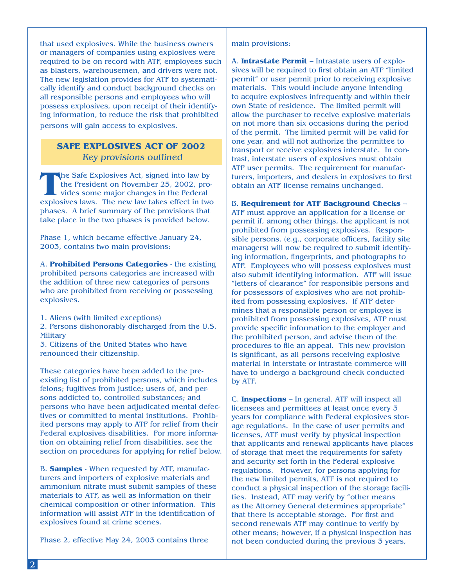that used explosives. While the business owners or managers of companies using explosives were required to be on record with ATF, employees such as blasters, warehousemen, and drivers were not. The new legislation provides for ATF to systematically identify and conduct background checks on all responsible persons and employees who will possess explosives, upon receipt of their identifying information, to reduce the risk that prohibited persons will gain access to explosives.

#### **SAFE EXPLOSIVES ACT OF 2002**  Key provisions outlined

The Safe Explosives Act, signed into law by the President on November 25, 2002, provides some major changes in the Federal explosives laws. The new law takes effect in two the President on November 25, 2002, provides some major changes in the Federal phases. A brief summary of the provisions that take place in the two phases is provided below.

Phase 1, which became effective January 24, 2003, contains two main provisions:

A. **Prohibited Persons Categories** - the existing prohibited persons categories are increased with the addition of three new categories of persons who are prohibited from receiving or possessing explosives.

1. Aliens (with limited exceptions)

2. Persons dishonorably discharged from the U.S. **Military** 

3. Citizens of the United States who have renounced their citizenship.

These categories have been added to the preexisting list of prohibited persons, which includes felons; fugitives from justice; users of, and persons addicted to, controlled substances; and persons who have been adjudicated mental defectives or committed to mental institutions. Prohibited persons may apply to ATF for relief from their Federal explosives disabilities. For more information on obtaining relief from disabilities, see the section on procedures for applying for relief below.

B. **Samples** - When requested by ATF, manufacturers and importers of explosive materials and ammonium nitrate must submit samples of these materials to ATF, as well as information on their chemical composition or other information. This information will assist ATF in the identification of explosives found at crime scenes.

Phase 2, effective May 24, 2003 contains three

main provisions:

A. **Intrastate Permit** – Intrastate users of explosives will be required to first obtain an ATF "limited permit" or user permit prior to receiving explosive materials. This would include anyone intending to acquire explosives infrequently and within their own State of residence. The limited permit will allow the purchaser to receive explosive materials on not more than six occasions during the period of the permit. The limited permit will be valid for one year, and will not authorize the permittee to transport or receive explosives interstate. In contrast, interstate users of explosives must obtain ATF user permits. The requirement for manufacturers, importers, and dealers in explosives to first obtain an ATF license remains unchanged.

B. **Requirement for ATF Background Checks** – ATF must approve an application for a license or permit if, among other things, the applicant is not prohibited from possessing explosives. Responsible persons, (e.g., corporate officers, facility site managers) will now be required to submit identifying information, fingerprints, and photographs to ATF. Employees who will possess explosives must also submit identifying information. ATF will issue "letters of clearance" for responsible persons and for possessors of explosives who are not prohibited from possessing explosives. If ATF determines that a responsible person or employee is prohibited from possessing explosives, ATF must provide specific information to the employer and the prohibited person, and advise them of the procedures to file an appeal. This new provision is significant, as all persons receiving explosive material in interstate or intrastate commerce will have to undergo a background check conducted by ATF.

C. **Inspections** – In general, ATF will inspect all licensees and permittees at least once every 3 years for compliance with Federal explosives storage regulations. In the case of user permits and licenses, ATF must verify by physical inspection that applicants and renewal applicants have places of storage that meet the requirements for safety and security set forth in the Federal explosive regulations. However, for persons applying for the new limited permits, ATF is not required to conduct a physical inspection of the storage facilities. Instead, ATF may verify by "other means as the Attorney General determines appropriate" that there is acceptable storage. For first and second renewals ATF may continue to verify by other means; however, if a physical inspection has not been conducted during the previous 3 years,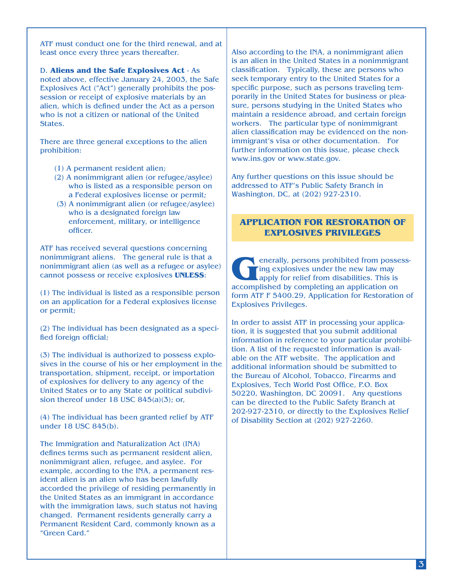ATF must conduct one for the third renewal, and at least once every three years thereafter.

D. **Aliens and the Safe Explosives Act** - As noted above, effective January 24, 2003, the Safe Explosives Act ("Act") generally prohibits the possession or receipt of explosive materials by an alien, which is defined under the Act as a person who is not a citizen or national of the United States.

There are three general exceptions to the alien prohibition:

- (1) A permanent resident alien;
- (2) A nonimmigrant alien (or refugee/asylee) who is listed as a responsible person on a Federal explosives license or permit;
- (3) A nonimmigrant alien (or refugee/asylee) who is a designated foreign law enforcement, military, or intelligence officer.

ATF has received several questions concerning nonimmigrant aliens. The general rule is that a nonimmigrant alien (as well as a refugee or asylee) cannot possess or receive explosives **UNLESS**:

(1) The individual is listed as a responsible person on an application for a Federal explosives license or permit;

(2) The individual has been designated as a specified foreign official;

(3) The individual is authorized to possess explosives in the course of his or her employment in the transportation, shipment, receipt, or importation of explosives for delivery to any agency of the United States or to any State or political subdivision thereof under 18 USC 845(a)(3); or,

(4) The individual has been granted relief by ATF under 18 USC 845(b).

The Immigration and Naturalization Act (INA) defines terms such as permanent resident alien, nonimmigrant alien, refugee, and asylee. For example, according to the INA, a permanent resident alien is an alien who has been lawfully accorded the privilege of residing permanently in the United States as an immigrant in accordance with the immigration laws, such status not having changed. Permanent residents generally carry a Permanent Resident Card, commonly known as a "Green Card."

Also according to the INA, a nonimmigrant alien is an alien in the United States in a nonimmigrant classification. Typically, these are persons who seek temporary entry to the United States for a specific purpose, such as persons traveling temporarily in the United States for business or pleasure, persons studying in the United States who maintain a residence abroad, and certain foreign workers. The particular type of nonimmigrant alien classification may be evidenced on the nonimmigrant's visa or other documentation. For further information on this issue, please check www.ins.gov or www.state.gov.

Any further questions on this issue should be addressed to ATF's Public Safety Branch in Washington, DC, at (202) 927-2310.

#### **APPLICATION FOR RESTORATION OF EXPLOSIVES PRIVILEGES**

enerally, persons prohibited from possessing explosives under the new law may apply for relief from disabilities. This is accomplished by completing an application on ing explosives under the new law may apply for relief from disabilities. This is form ATF F 5400.29, Application for Restoration of Explosives Privileges.

In order to assist ATF in processing your application, it is suggested that you submit additional information in reference to your particular prohibition. A list of the requested information is available on the ATF website. The application and additional information should be submitted to the Bureau of Alcohol, Tobacco, Firearms and Explosives, Tech World Post Office, P.O. Box 50220, Washington, DC 20091. Any questions can be directed to the Public Safety Branch at 202-927-2310, or directly to the Explosives Relief of Disability Section at (202) 927-2260.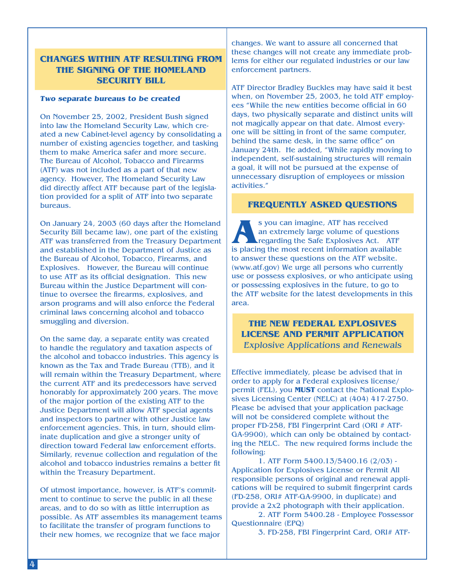#### **CHANGES WITHIN ATF RESULTING FROM THE SIGNING OF THE HOMELAND SECURITY BILL**

#### **Two separate bureaus to be created**

On November 25, 2002, President Bush signed into law the Homeland Security Law, which created a new Cabinet-level agency by consolidating a number of existing agencies together, and tasking them to make America safer and more secure. The Bureau of Alcohol, Tobacco and Firearms (ATF) was not included as a part of that new agency. However, The Homeland Security Law did directly affect ATF because part of the legislation provided for a split of ATF into two separate bureaus.

On January 24, 2003 (60 days after the Homeland Security Bill became law), one part of the existing ATF was transferred from the Treasury Department and established in the Department of Justice as the Bureau of Alcohol, Tobacco, Firearms, and Explosives. However, the Bureau will continue to use ATF as its official designation. This new Bureau within the Justice Department will continue to oversee the firearms, explosives, and arson programs and will also enforce the Federal criminal laws concerning alcohol and tobacco smuggling and diversion.

On the same day, a separate entity was created to handle the regulatory and taxation aspects of the alcohol and tobacco industries. This agency is known as the Tax and Trade Bureau (TTB), and it will remain within the Treasury Department, where the current ATF and its predecessors have served honorably for approximately 200 years. The move of the major portion of the existing ATF to the Justice Department will allow ATF special agents and inspectors to partner with other Justice law enforcement agencies. This, in turn, should eliminate duplication and give a stronger unity of direction toward Federal law enforcement efforts. Similarly, revenue collection and regulation of the alcohol and tobacco industries remains a better fit within the Treasury Department.

Of utmost importance, however, is ATF's commitment to continue to serve the public in all these areas, and to do so with as little interruption as possible. As ATF assembles its management teams to facilitate the transfer of program functions to their new homes, we recognize that we face major

changes. We want to assure all concerned that these changes will not create any immediate problems for either our regulated industries or our law enforcement partners.

ATF Director Bradley Buckles may have said it best when, on November 25, 2003, he told ATF employees "While the new entities become official in 60 days, two physically separate and distinct units will not magically appear on that date. Almost everyone will be sitting in front of the same computer, behind the same desk, in the same office" on January 24th. He added, "While rapidly moving to independent, self-sustaining structures will remain a goal, it will not be pursued at the expense of unnecessary disruption of employees or mission activities."

#### **FREQUENTLY ASKED QUESTIONS**

s you can imagine, ATF has received<br>an extremely large volume of questions<br>regarding the Safe Explosives Act. ATF<br>is placing the most recent information available an extremely large volume of questions regarding the Safe Explosives Act. ATF to answer these questions on the ATF website. (www.atf.gov) We urge all persons who currently use or possess explosives, or who anticipate using or possessing explosives in the future, to go to the ATF website for the latest developments in this area.

**THE NEW FEDERAL EXPLOSIVES LICENSE AND PERMIT APPLICATION** Explosive Applications and Renewals

Effective immediately, please be advised that in order to apply for a Federal explosives license/ permit (FEL), you **MUST** contact the National Explosives Licensing Center (NELC) at (404) 417-2750. Please be advised that your application package will not be considered complete without the proper FD-258, FBI Fingerprint Card (ORI # ATF-GA-9900), which can only be obtained by contacting the NELC. The new required forms include the following:

1. ATF Form 5400.13/5400.16 (2/03) - Application for Explosives License or Permit All responsible persons of original and renewal applications will be required to submit fingerprint cards (FD-258, ORI# ATF-GA-9900, in duplicate) and provide a 2x2 photograph with their application.

2. ATF Form 5400.28 - Employee Possessor Questionnaire (EPQ)

3. FD-258, FBI Fingerprint Card, ORI# ATF-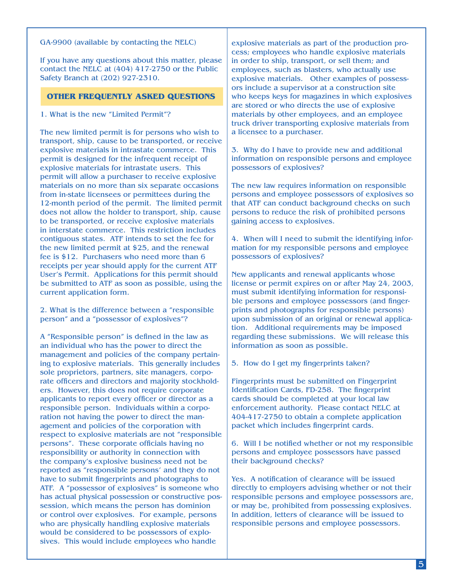#### GA-9900 (available by contacting the NELC)

If you have any questions about this matter, please contact the NELC at (404) 417-2750 or the Public Safety Branch at (202) 927-2310.

#### **OTHER FREQUENTLY ASKED QUESTIONS**

1. What is the new "Limited Permit"?

The new limited permit is for persons who wish to transport, ship, cause to be transported, or receive explosive materials in intrastate commerce. This permit is designed for the infrequent receipt of explosive materials for intrastate users. This permit will allow a purchaser to receive explosive materials on no more than six separate occasions from in-state licensees or permittees during the 12-month period of the permit. The limited permit does not allow the holder to transport, ship, cause to be transported, or receive explosive materials in interstate commerce. This restriction includes contiguous states. ATF intends to set the fee for the new limited permit at \$25, and the renewal fee is \$12. Purchasers who need more than 6 receipts per year should apply for the current ATF User's Permit. Applications for this permit should be submitted to ATF as soon as possible, using the current application form.

2. What is the difference between a "responsible person" and a "possessor of explosives"?

A "Responsible person" is defined in the law as an individual who has the power to direct the management and policies of the company pertaining to explosive materials. This generally includes sole proprietors, partners, site managers, corporate officers and directors and majority stockholders. However, this does not require corporate applicants to report every officer or director as a responsible person. Individuals within a corporation not having the power to direct the management and policies of the corporation with respect to explosive materials are not "responsible persons". These corporate officials having no responsibility or authority in connection with the company's explosive business need not be reported as "responsible persons' and they do not have to submit fingerprints and photographs to ATF. A "possessor of explosives" is someone who has actual physical possession or constructive possession, which means the person has dominion or control over explosives. For example, persons who are physically handling explosive materials would be considered to be possessors of explosives. This would include employees who handle

explosive materials as part of the production process; employees who handle explosive materials in order to ship, transport, or sell them; and employees, such as blasters, who actually use explosive materials. Other examples of possessors include a supervisor at a construction site who keeps keys for magazines in which explosives are stored or who directs the use of explosive materials by other employees, and an employee truck driver transporting explosive materials from a licensee to a purchaser.

3. Why do I have to provide new and additional information on responsible persons and employee possessors of explosives?

The new law requires information on responsible persons and employee possessors of explosives so that ATF can conduct background checks on such persons to reduce the risk of prohibited persons gaining access to explosives.

4. When will I need to submit the identifying information for my responsible persons and employee possessors of explosives?

New applicants and renewal applicants whose license or permit expires on or after May 24, 2003, must submit identifying information for responsible persons and employee possessors (and fingerprints and photographs for responsible persons) upon submission of an original or renewal application. Additional requirements may be imposed regarding these submissions. We will release this information as soon as possible.

5. How do I get my fingerprints taken?

Fingerprints must be submitted on Fingerprint Identification Cards, FD-258. The fingerprint cards should be completed at your local law enforcement authority. Please contact NELC at 404-417-2750 to obtain a complete application packet which includes fingerprint cards.

6. Will I be notified whether or not my responsible persons and employee possessors have passed their background checks?

Yes. A notification of clearance will be issued directly to employers advising whether or not their responsible persons and employee possessors are, or may be, prohibited from possessing explosives. In addition, letters of clearance will be issued to responsible persons and employee possessors.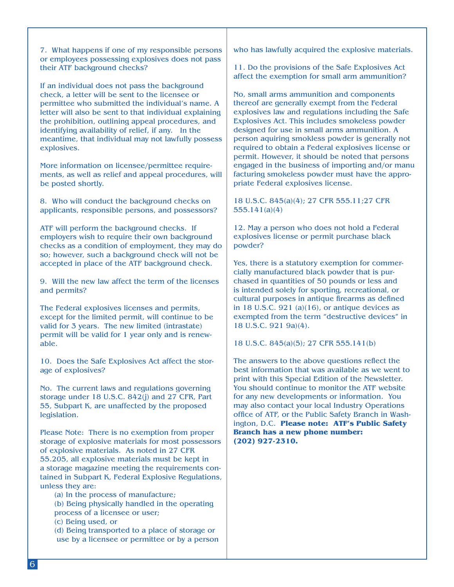7. What happens if one of my responsible persons or employees possessing explosives does not pass their ATF background checks?

If an individual does not pass the background check, a letter will be sent to the licensee or permittee who submitted the individual's name. A letter will also be sent to that individual explaining the prohibition, outlining appeal procedures, and identifying availability of relief, if any. In the meantime, that individual may not lawfully possess explosives.

More information on licensee/permittee requirements, as well as relief and appeal procedures, will be posted shortly.

8. Who will conduct the background checks on applicants, responsible persons, and possessors?

ATF will perform the background checks. If employers wish to require their own background checks as a condition of employment, they may do so; however, such a background check will not be accepted in place of the ATF background check.

9. Will the new law affect the term of the licenses and permits?

The Federal explosives licenses and permits, except for the limited permit, will continue to be valid for 3 years. The new limited (intrastate) permit will be valid for 1 year only and is renewable.

10. Does the Safe Explosives Act affect the storage of explosives?

No. The current laws and regulations governing storage under 18 U.S.C. 842(j) and 27 CFR, Part 55, Subpart K, are unaffected by the proposed legislation.

Please Note: There is no exemption from proper storage of explosive materials for most possessors of explosive materials. As noted in 27 CFR 55.205, all explosive materials must be kept in a storage magazine meeting the requirements contained in Subpart K, Federal Explosive Regulations, unless they are:

 (a) In the process of manufacture; (b) Being physically handled in the operating process of a licensee or user; (c) Being used, or (d) Being transported to a place of storage or use by a licensee or permittee or by a person who has lawfully acquired the explosive materials.

11. Do the provisions of the Safe Explosives Act affect the exemption for small arm ammunition?

No, small arms ammunition and components thereof are generally exempt from the Federal explosives law and regulations including the Safe Explosives Act. This includes smokeless powder designed for use in small arms ammunition. A person aquiring smokless powder is generally not required to obtain a Federal explosives license or permit. However, it should be noted that persons engaged in the business of importing and/or manu facturing smokeless powder must have the appropriate Federal explosives license.

18 U.S.C. 845(a)(4); 27 CFR 555.11;27 CFR 555.141(a)(4)

12. May a person who does not hold a Federal explosives license or permit purchase black powder?

Yes, there is a statutory exemption for commercially manufactured black powder that is purchased in quantities of 50 pounds or less and is intended solely for sporting, recreational, or cultural purposes in antique firearms as defined in 18 U.S.C. 921 (a) $(16)$ , or antique devices as exempted from the term "destructive devices" in 18 U.S.C. 921 9a)(4).

18 U.S.C. 845(a)(5); 27 CFR 555.141(b)

The answers to the above questions reflect the best information that was available as we went to print with this Special Edition of the Newsletter. You should continue to monitor the ATF website for any new developments or information. You may also contact your local Industry Operations office of ATF, or the Public Safety Branch in Washington, D.C. **Please note: ATF's Public Safety Branch has a new phone number: (202) 927-2310.**